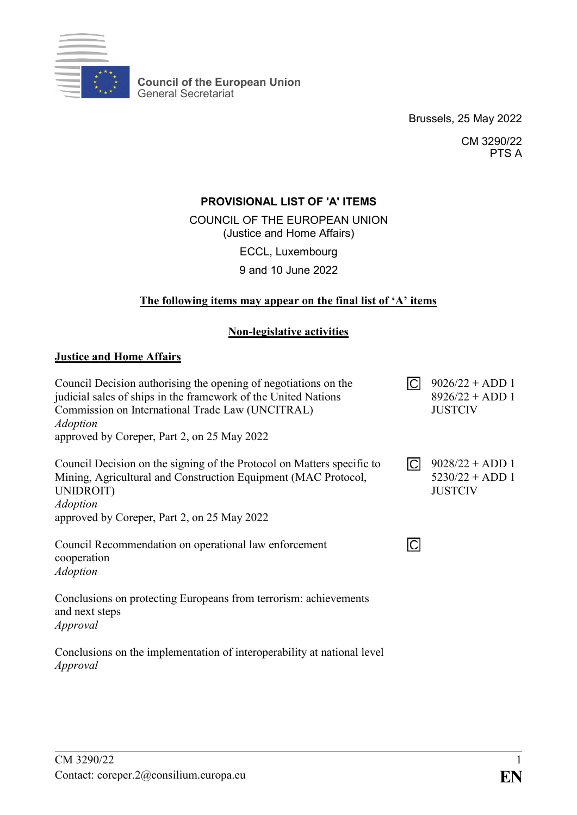

**Council of the European Union** General Secretariat

Brussels, 25 May 2022

CM 3290/22 PTS A

## **PROVISIONAL LIST OF 'A' ITEMS**

COUNCIL OF THE EUROPEAN UNION (Justice and Home Affairs)

ECCL, Luxembourg

#### 9 and 10 June 2022

### **The following items may appear on the final list of 'A' items**

#### **Non-legislative activities**

### **Justice and Home Affairs**

| Council Decision authorising the opening of negotiations on the<br>judicial sales of ships in the framework of the United Nations<br>Commission on International Trade Law (UNCITRAL)<br><b>Adoption</b><br>approved by Coreper, Part 2, on 25 May 2022 |                           | $9026/22 + ADD 1$<br>$8926/22 + ADD 1$<br><b>JUSTCIV</b> |
|---------------------------------------------------------------------------------------------------------------------------------------------------------------------------------------------------------------------------------------------------------|---------------------------|----------------------------------------------------------|
| Council Decision on the signing of the Protocol on Matters specific to<br>Mining, Agricultural and Construction Equipment (MAC Protocol,<br>UNIDROIT)<br><b>Adoption</b><br>approved by Coreper, Part 2, on 25 May 2022                                 | ICI                       | $9028/22 + ADD 1$<br>$5230/22 + ADD 1$<br><b>JUSTCIV</b> |
| Council Recommendation on operational law enforcement<br>cooperation<br><i>Adoption</i>                                                                                                                                                                 | $ \overline{\textbf{C}} $ |                                                          |
| Conclusions on protecting Europeans from terrorism: achievements<br>and next steps<br>Approval                                                                                                                                                          |                           |                                                          |
| Conclusions on the implementation of interoperability at national level<br>Approval                                                                                                                                                                     |                           |                                                          |